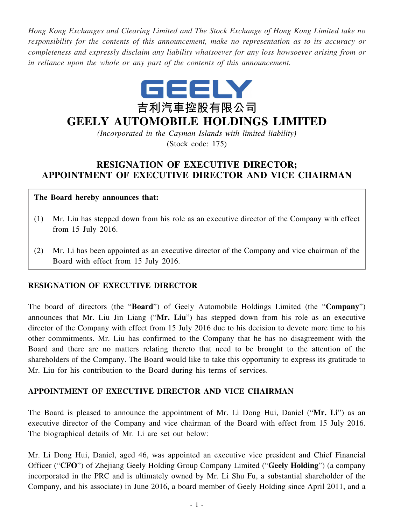*Hong Kong Exchanges and Clearing Limited and The Stock Exchange of Hong Kong Limited take no responsibility for the contents of this announcement, make no representation as to its accuracy or completeness and expressly disclaim any liability whatsoever for any loss howsoever arising from or in reliance upon the whole or any part of the contents of this announcement.*



# **GEELY AUTOMOBILE HOLDINGS LIMITED**

*(Incorporated in the Cayman Islands with limited liability)* (Stock code: 175)

# **RESIGNATION OF EXECUTIVE DIRECTOR; APPOINTMENT OF EXECUTIVE DIRECTOR AND VICE CHAIRMAN**

#### **The Board hereby announces that:**

- (1) Mr. Liu has stepped down from his role as an executive director of the Company with effect from 15 July 2016.
- (2) Mr. Li has been appointed as an executive director of the Company and vice chairman of the Board with effect from 15 July 2016.

## **RESIGNATION OF EXECUTIVE DIRECTOR**

The board of directors (the "**Board**") of Geely Automobile Holdings Limited (the "**Company**") announces that Mr. Liu Jin Liang ("**Mr. Liu**") has stepped down from his role as an executive director of the Company with effect from 15 July 2016 due to his decision to devote more time to his other commitments. Mr. Liu has confirmed to the Company that he has no disagreement with the Board and there are no matters relating thereto that need to be brought to the attention of the shareholders of the Company. The Board would like to take this opportunity to express its gratitude to Mr. Liu for his contribution to the Board during his terms of services.

## **APPOINTMENT OF EXECUTIVE DIRECTOR AND VICE CHAIRMAN**

The Board is pleased to announce the appointment of Mr. Li Dong Hui, Daniel ("**Mr. Li**") as an executive director of the Company and vice chairman of the Board with effect from 15 July 2016. The biographical details of Mr. Li are set out below:

Mr. Li Dong Hui, Daniel, aged 46, was appointed an executive vice president and Chief Financial Officer ("**CFO**") of Zhejiang Geely Holding Group Company Limited ("**Geely Holding**") (a company incorporated in the PRC and is ultimately owned by Mr. Li Shu Fu, a substantial shareholder of the Company, and his associate) in June 2016, a board member of Geely Holding since April 2011, and a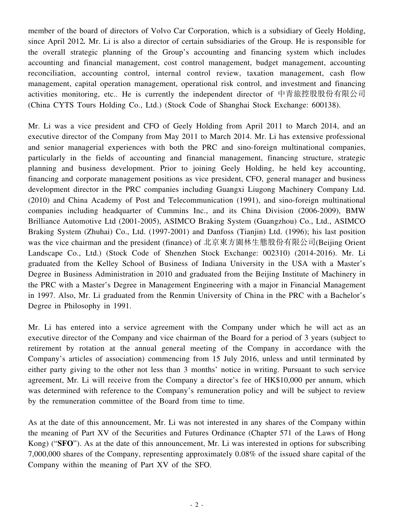member of the board of directors of Volvo Car Corporation, which is a subsidiary of Geely Holding, since April 2012*.* Mr. Li is also a director of certain subsidiaries of the Group. He is responsible for the overall strategic planning of the Group's accounting and financing system which includes accounting and financial management, cost control management, budget management, accounting reconciliation, accounting control, internal control review, taxation management, cash flow management, capital operation management, operational risk control, and investment and financing activities monitoring, etc.. He is currently the independent director of 中青旅控股股份有限公司 (China CYTS Tours Holding Co., Ltd.) (Stock Code of Shanghai Stock Exchange: 600138).

Mr. Li was a vice president and CFO of Geely Holding from April 2011 to March 2014, and an executive director of the Company from May 2011 to March 2014. Mr. Li has extensive professional and senior managerial experiences with both the PRC and sino-foreign multinational companies, particularly in the fields of accounting and financial management, financing structure, strategic planning and business development. Prior to joining Geely Holding, he held key accounting, financing and corporate management positions as vice president, CFO, general manager and business development director in the PRC companies including Guangxi Liugong Machinery Company Ltd. (2010) and China Academy of Post and Telecommunication (1991), and sino-foreign multinational companies including headquarter of Cummins Inc., and its China Division (2006-2009), BMW Brilliance Automotive Ltd (2001-2005), ASIMCO Braking System (Guangzhou) Co., Ltd., ASIMCO Braking System (Zhuhai) Co., Ltd. (1997-2001) and Danfoss (Tianjin) Ltd. (1996); his last position was the vice chairman and the president (finance) of 北京東方園林生態股份有限公司(Beijing Orient Landscape Co., Ltd.) (Stock Code of Shenzhen Stock Exchange: 002310) (2014-2016). Mr. Li graduated from the Kelley School of Business of Indiana University in the USA with a Master's Degree in Business Administration in 2010 and graduated from the Beijing Institute of Machinery in the PRC with a Master's Degree in Management Engineering with a major in Financial Management in 1997. Also, Mr. Li graduated from the Renmin University of China in the PRC with a Bachelor's Degree in Philosophy in 1991.

Mr. Li has entered into a service agreement with the Company under which he will act as an executive director of the Company and vice chairman of the Board for a period of 3 years (subject to retirement by rotation at the annual general meeting of the Company in accordance with the Company's articles of association) commencing from 15 July 2016, unless and until terminated by either party giving to the other not less than 3 months' notice in writing. Pursuant to such service agreement, Mr. Li will receive from the Company a director's fee of HK\$10,000 per annum, which was determined with reference to the Company's remuneration policy and will be subject to review by the remuneration committee of the Board from time to time.

As at the date of this announcement, Mr. Li was not interested in any shares of the Company within the meaning of Part XV of the Securities and Futures Ordinance (Chapter 571 of the Laws of Hong Kong) ("**SFO**"). As at the date of this announcement, Mr. Li was interested in options for subscribing 7,000,000 shares of the Company, representing approximately 0.08% of the issued share capital of the Company within the meaning of Part XV of the SFO.